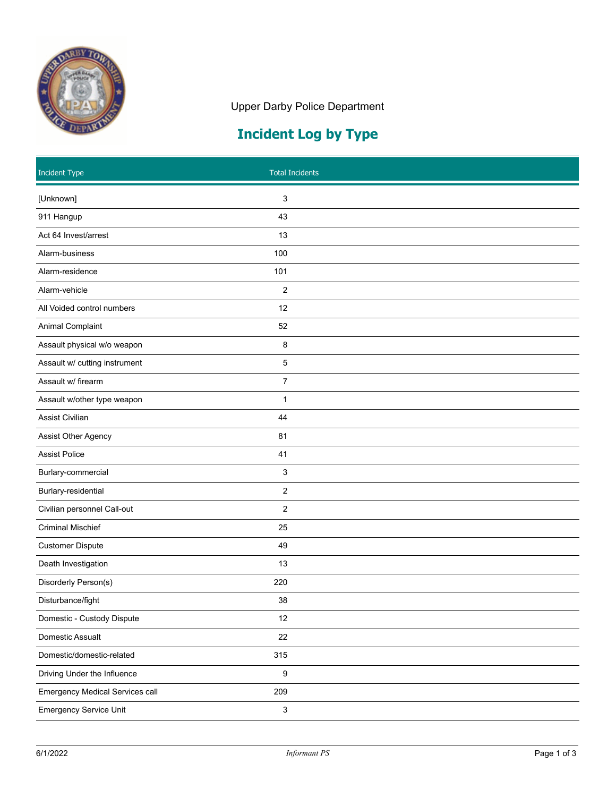

## Upper Darby Police Department

## **Incident Log by Type**

| <b>Incident Type</b>                   |                           | <b>Total Incidents</b> |
|----------------------------------------|---------------------------|------------------------|
| [Unknown]                              | 3                         |                        |
| 911 Hangup                             | 43                        |                        |
| Act 64 Invest/arrest                   | 13                        |                        |
| Alarm-business                         | 100                       |                        |
| Alarm-residence                        | 101                       |                        |
| Alarm-vehicle                          | $\overline{2}$            |                        |
| All Voided control numbers             | 12                        |                        |
| Animal Complaint                       | 52                        |                        |
| Assault physical w/o weapon            | 8                         |                        |
| Assault w/ cutting instrument          | $\,$ 5 $\,$               |                        |
| Assault w/ firearm                     | $\overline{7}$            |                        |
| Assault w/other type weapon            | $\mathbf{1}$              |                        |
| Assist Civilian                        | 44                        |                        |
| <b>Assist Other Agency</b>             | 81                        |                        |
| <b>Assist Police</b>                   | 41                        |                        |
| Burlary-commercial                     | 3                         |                        |
| Burlary-residential                    | $\overline{c}$            |                        |
| Civilian personnel Call-out            | $\overline{2}$            |                        |
| <b>Criminal Mischief</b>               | 25                        |                        |
| <b>Customer Dispute</b>                | 49                        |                        |
| Death Investigation                    | 13                        |                        |
| Disorderly Person(s)                   | 220                       |                        |
| Disturbance/fight                      | 38                        |                        |
| Domestic - Custody Dispute             | 12                        |                        |
| Domestic Assualt                       | 22                        |                        |
| Domestic/domestic-related              | 315                       |                        |
| Driving Under the Influence            | $\boldsymbol{9}$          |                        |
| <b>Emergency Medical Services call</b> | 209                       |                        |
| <b>Emergency Service Unit</b>          | $\ensuremath{\mathsf{3}}$ |                        |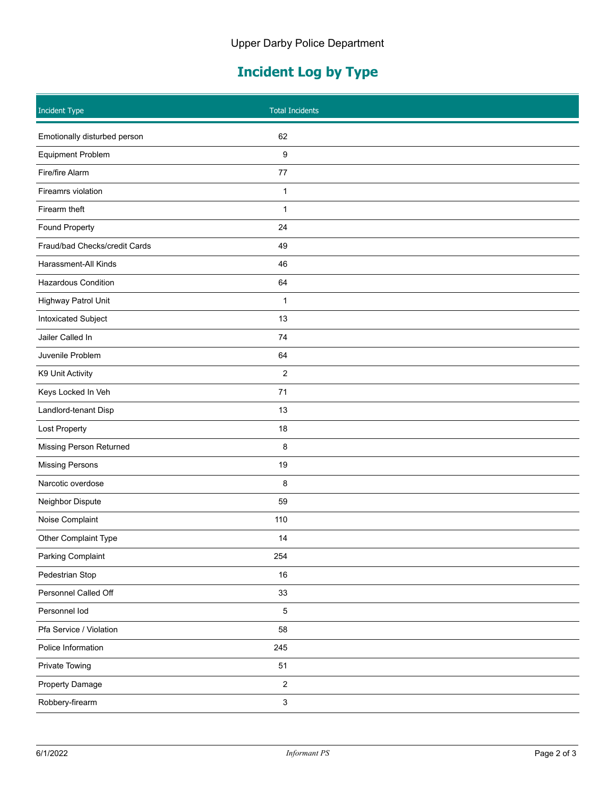## **Incident Log by Type**

| <b>Incident Type</b>          | <b>Total Incidents</b>    |  |
|-------------------------------|---------------------------|--|
| Emotionally disturbed person  | 62                        |  |
| <b>Equipment Problem</b>      | 9                         |  |
| Fire/fire Alarm               | 77                        |  |
| Fireamrs violation            | $\mathbf{1}$              |  |
| Firearm theft                 | 1                         |  |
| <b>Found Property</b>         | 24                        |  |
| Fraud/bad Checks/credit Cards | 49                        |  |
| Harassment-All Kinds          | 46                        |  |
| <b>Hazardous Condition</b>    | 64                        |  |
| Highway Patrol Unit           | 1                         |  |
| Intoxicated Subject           | 13                        |  |
| Jailer Called In              | 74                        |  |
| Juvenile Problem              | 64                        |  |
| K9 Unit Activity              | $\overline{c}$            |  |
| Keys Locked In Veh            | 71                        |  |
| Landlord-tenant Disp          | 13                        |  |
| Lost Property                 | 18                        |  |
| Missing Person Returned       | 8                         |  |
| <b>Missing Persons</b>        | 19                        |  |
| Narcotic overdose             | 8                         |  |
| Neighbor Dispute              | 59                        |  |
| Noise Complaint               | 110                       |  |
| Other Complaint Type          | 14                        |  |
| Parking Complaint             | 254                       |  |
| Pedestrian Stop               | 16                        |  |
| Personnel Called Off          | 33                        |  |
| Personnel lod                 | $\sqrt{5}$                |  |
| Pfa Service / Violation       | 58                        |  |
| Police Information            | 245                       |  |
| <b>Private Towing</b>         | $51$                      |  |
| Property Damage               | $\overline{\mathbf{c}}$   |  |
| Robbery-firearm               | $\ensuremath{\mathsf{3}}$ |  |